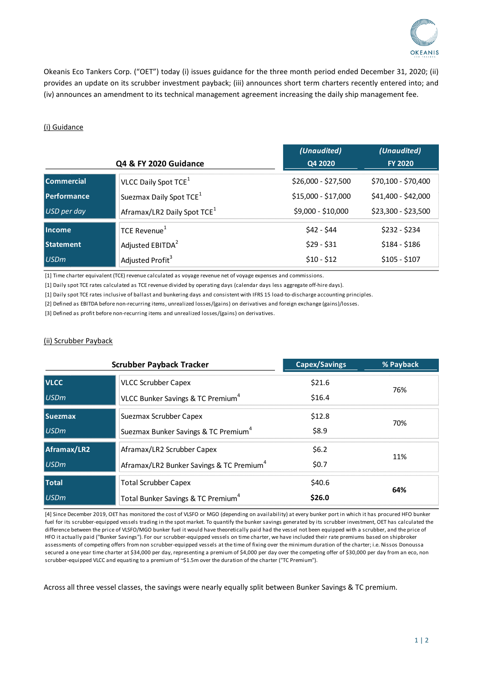

Okeanis Eco Tankers Corp. ("OET") today (i) issues guidance for the three month period ended December 31, 2020; (ii) provides an update on its scrubber investment payback; (iii) announces short term charters recently entered into; and (iv) announces an amendment to its technical management agreement increasing the daily ship management fee.

## (i) Guidance

| Q4 & FY 2020 Guidance |                                         | (Unaudited)<br>Q4 2020 | (Unaudited)<br><b>FY 2020</b> |
|-----------------------|-----------------------------------------|------------------------|-------------------------------|
| <b>Commercial</b>     | VLCC Daily Spot TCE <sup>1</sup>        | \$26,000 - \$27,500    | \$70,100 - \$70,400           |
| <b>Performance</b>    | Suezmax Daily Spot TCE <sup>1</sup>     | \$15,000 - \$17,000    | \$41,400 - \$42,000           |
| <b>USD</b> per day    | Aframax/LR2 Daily Spot TCE <sup>1</sup> | \$9,000 - \$10,000     | \$23,300 - \$23,500           |
| Income                | TCE Revenue <sup>1</sup>                | \$42 - \$44            | $$232 - $234$                 |
| <b>Statement</b>      | Adjusted EBITDA <sup>2</sup>            | $$29 - $31$            | $$184 - $186$                 |
| <b>USDm</b>           | Adjusted Profit <sup>3</sup>            | $$10 - $12$            | $$105 - $107$                 |

[1] Time charter equivalent (TCE) revenue calculated as voyage revenue net of voyage expenses and commissions.

[1] Daily spot TCE rates calculated as TCE revenue divided by operating days (calendar days less aggregate off-hire days).

[1] Daily spot TCE rates inclusive of ballast and bunkering days and consistent with IFRS 15 load-to-discharge accounting principles.

[2] Defined as EBITDA before non-recurring items, unrealized losses/(gains) on derivatives and foreign exchange (gains)/losses.

[3] Defined as profit before non-recurring items and unrealized losses/(gains) on derivatives.

## (ii) Scrubber Payback

| <b>Scrubber Payback Tracker</b> |                                                      | <b>Capex/Savings</b> | % Payback |
|---------------------------------|------------------------------------------------------|----------------------|-----------|
| <b>VLCC</b>                     | <b>VLCC Scrubber Capex</b>                           | \$21.6               | 76%       |
| <b>USDm</b>                     | VLCC Bunker Savings & TC Premium <sup>4</sup>        | \$16.4               |           |
| <b>Suezmax</b>                  | Suezmax Scrubber Capex                               | \$12.8               | 70%       |
| <b>USDm</b>                     | Suezmax Bunker Savings & TC Premium <sup>4</sup>     | \$8.9                |           |
| Aframax/LR2                     | Aframax/LR2 Scrubber Capex                           | \$6.2\$              | 11%       |
| <b>USDm</b>                     | Aframax/LR2 Bunker Savings & TC Premium <sup>4</sup> | \$0.7                |           |
| <b>Total</b>                    | <b>Total Scrubber Capex</b>                          | \$40.6               | 64%       |
| USDm                            | Total Bunker Savings & TC Premium <sup>4</sup>       | \$26.0               |           |

[4] Since December 2019, OET has monitored the cost of VLSFO or MGO (depending on availability) at every bunker port in which it has procured HFO bunker fuel for its scrubber-equipped vessels trading in the spot market. To quantify the bunker savings generated by its scrubber investment, OET has calculated the difference between the price of VLSFO/MGO bunker fuel it would have theoretically paid had the vessel not been equipped with a scrubber, and the price of HFO it actually paid ("Bunker Savings"). For our scrubber-equipped vessels on time charter, we have included their rate premiums based on shipbroker assessments of competing offers from non scrubber-equipped vessels at the time of fixing over the minimum duration of the charter; i.e. Nissos Donoussa secured a one year time charter at \$34,000 per day, representing a premium of \$4,000 per day over the competing offer of \$30,000 per day from an eco, non scrubber-equipped VLCC and equating to a premium of ~\$1.5m over the duration of the charter ("TC Premium").

Across all three vessel classes, the savings were nearly equally split between Bunker Savings & TC premium.